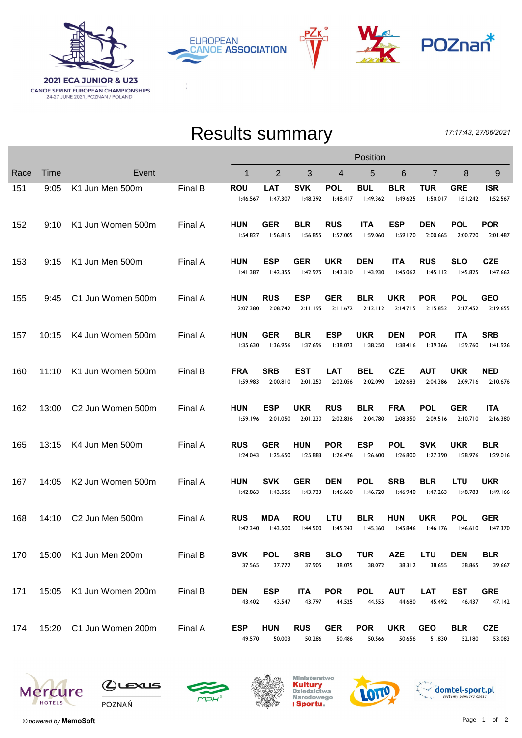

РΖк **EUROPEAN CANOE ASSOCIATION** 



## Results summary

17:17:43, 27/06/2021

|      |       |                               | Position |                        |                        |                        |                        |                        |                        |                        |                        |                        |
|------|-------|-------------------------------|----------|------------------------|------------------------|------------------------|------------------------|------------------------|------------------------|------------------------|------------------------|------------------------|
| Race | Time  | Event                         |          | 1                      | 2                      | 3                      | 4                      | 5                      | 6                      | 7                      | 8                      | 9                      |
| 151  | 9:05  | K1 Jun Men 500m               | Final B  | <b>ROU</b><br>1:46.567 | <b>LAT</b><br>I:47.307 | <b>SVK</b><br>1:48.392 | <b>POL</b><br>1:48.417 | <b>BUL</b><br>1:49.362 | <b>BLR</b><br>1:49.625 | <b>TUR</b><br>1:50.017 | <b>GRE</b><br>1:51.242 | <b>ISR</b><br>1:52.567 |
| 152  | 9:10  | K1 Jun Women 500m             | Final A  | <b>HUN</b><br>1:54.827 | GER<br>1:56.815        | <b>BLR</b><br>I:56.855 | <b>RUS</b><br>I:57.005 | <b>ITA</b><br>1:59.060 | <b>ESP</b><br>1:59.170 | <b>DEN</b><br>2:00.665 | <b>POL</b><br>2:00.720 | <b>POR</b><br>2:01.487 |
| 153  | 9:15  | K1 Jun Men 500m               | Final A  | <b>HUN</b><br>1:41.387 | <b>ESP</b><br>1:42.355 | <b>GER</b><br>1:42.975 | <b>UKR</b><br>1:43.310 | DEN<br>1:43.930        | <b>ITA</b><br>1:45.062 | <b>RUS</b><br>1:45.112 | <b>SLO</b><br>1:45.825 | <b>CZE</b><br>1:47.662 |
| 155  | 9:45  | C1 Jun Women 500m             | Final A  | <b>HUN</b><br>2:07.380 | <b>RUS</b><br>2:08.742 | <b>ESP</b><br>2:11.195 | <b>GER</b><br>2:11.672 | <b>BLR</b><br>2:12.112 | UKR<br>2:14.715        | <b>POR</b><br>2:15.852 | <b>POL</b><br>2:17.452 | <b>GEO</b><br>2:19.655 |
| 157  | 10:15 | K4 Jun Women 500m             | Final A  | <b>HUN</b><br>1:35.630 | <b>GER</b><br>1:36.956 | <b>BLR</b><br>1:37.696 | <b>ESP</b><br>1:38.023 | <b>UKR</b><br>1:38.250 | <b>DEN</b><br>1:38.416 | <b>POR</b><br>1:39.366 | <b>ITA</b><br>1:39.760 | <b>SRB</b><br>1:41.926 |
| 160  | 11:10 | K1 Jun Women 500m             | Final B  | <b>FRA</b><br>I:59.983 | <b>SRB</b><br>2:00.810 | <b>EST</b><br>2:01.250 | <b>LAT</b><br>2:02.056 | <b>BEL</b><br>2:02.090 | <b>CZE</b><br>2:02.683 | <b>AUT</b><br>2:04.386 | <b>UKR</b><br>2:09.716 | <b>NED</b><br>2:10.676 |
| 162  | 13:00 | C <sub>2</sub> Jun Women 500m | Final A  | <b>HUN</b><br>1:59.196 | <b>ESP</b><br>2:01.050 | <b>UKR</b><br>2:01.230 | <b>RUS</b><br>2:02.836 | <b>BLR</b><br>2:04.780 | <b>FRA</b><br>2:08.350 | <b>POL</b><br>2:09.516 | <b>GER</b><br>2:10.710 | <b>ITA</b><br>2:16.380 |
| 165  | 13:15 | K4 Jun Men 500m               | Final A  | <b>RUS</b><br>1:24.043 | <b>GER</b><br>I:25.650 | <b>HUN</b><br>1:25.883 | <b>POR</b><br>1:26.476 | <b>ESP</b><br>1:26.600 | <b>POL</b><br>1:26.800 | <b>SVK</b><br>1:27.390 | <b>UKR</b><br>1:28.976 | <b>BLR</b><br>1:29.016 |
| 167  | 14:05 | K2 Jun Women 500m             | Final A  | <b>HUN</b><br>1:42.863 | <b>SVK</b><br>1:43.556 | <b>GER</b><br>1:43.733 | <b>DEN</b><br>1:46.660 | <b>POL</b><br>1:46.720 | <b>SRB</b><br>I:46.940 | <b>BLR</b><br>1:47.263 | <b>LTU</b><br>I:48.783 | <b>UKR</b><br>1:49.166 |
| 168  | 14:10 | C2 Jun Men 500m               | Final A  | <b>RUS</b><br>1:42.340 | MDA<br>1:43.500        | <b>ROU</b><br>1:44.500 | LTU<br>1:45.243        | <b>BLR</b><br>1:45.360 | <b>HUN</b><br>1:45.846 | <b>UKR</b><br>1:46.176 | <b>POL</b><br>1:46.610 | <b>GER</b><br>1:47.370 |
| 170  |       | 15:00 K1 Jun Men 200m         | Final B  | <b>SVK</b><br>37.565   | <b>POL</b><br>37.772   | <b>SRB</b><br>37.905   | <b>SLO</b><br>38.025   | <b>TUR</b><br>38.072   | <b>AZE</b><br>38.312   | <b>LTU</b><br>38.655   | <b>DEN</b><br>38.865   | BLR<br>39.667          |
| 171  | 15:05 | K1 Jun Women 200m             | Final B  | <b>DEN</b><br>43.402   | <b>ESP</b><br>43.547   | <b>ITA</b><br>43.797   | <b>POR</b><br>44.525   | <b>POL</b><br>44.555   | <b>AUT</b><br>44.680   | <b>LAT</b><br>45.492   | EST<br>46.437          | <b>GRE</b><br>47.142   |
| 174  |       | 15:20 C1 Jun Women 200m       | Final A  | <b>ESP</b><br>49.570   | HUN<br>50.003          | <b>RUS</b><br>50.286   | <b>GER</b><br>50.486   | <b>POR</b><br>50.566   | <b>UKR</b><br>50.656   | <b>GEO</b><br>51.830   | <b>BLR</b><br>52.180   | <b>CZE</b><br>53.083   |